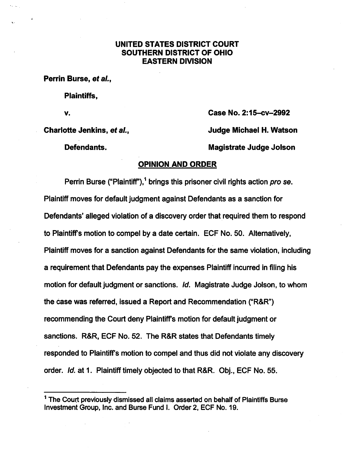## UNITED STATES DISTRICT COURT SOUTHERN DISTRICT OF OHIO EASTERN DIVISION

[Burse et al v. Jenkins et al](https://dockets.justia.com/docket/ohio/ohsdce/2:2015cv02992/189176/) v. Jenkins et al v. Jenkins et al [Doc. 64](https://docs.justia.com/cases/federal/district-courts/ohio/ohsdce/2:2015cv02992/189176/64/)4 et al Doc. 644 et al Doc. 644 et al Do

Perrin Burse, et al.,

Plaintiffs,

V. Case No. 2:15-cv-2992 Charlotte Jenkins, et al., Charlotte Judge Michael H. Watson Defendants. Magistrate Judge Jolson

## OPINION AND ORDER

Perrin Burse ("Plaintiff"),<sup>1</sup> brings this prisoner civil rights action pro se. Plaintiff moves for default judgment against Defendants as a sanction for Defendants' alleged violation of a discovery order that required them to respond to Plaintiffs motion to compel by a date certain. EOF No. 50. Altematively, Plaintiff moves for a sanction against Defendants for the same violation, including a requirement that Defendants pay the expenses Plaintiff incurred in filing his motion for default judgment or sanctions. Id. Magistrate Judge Jolson, to whom the case was referred, issued a Report and Recommendation ("R&R") recommending the Court deny Plaintiffs motion for default judgment or sanctions. R&R, EOF No. 52. The R&R states that Defendants timely responded to Plaintiffs motion to compel and thus did not violate any discovery order. *Id.* at 1. Plaintiff timely objected to that R&R. Obj., ECF No. 55.

 $<sup>1</sup>$  The Court previously dismissed all claims asserted on behalf of Plaintiffs Burse</sup> Investment Group, Inc. and Burse Fund I. Order 2, ECF No. 19.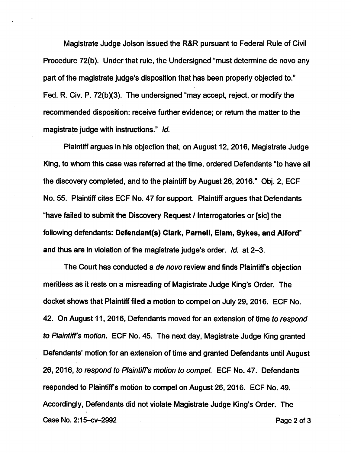Magistrate Judge Jolson issued the R&R pursuant to Federai Rule of Civil Procedure 72(b). Under that rule, the Undersigned "must determine de novo any part of the magistrate judge's disposition that has been properly objected to." Fed. R. Civ. P. 72(b)(3). The undersigned "may accept, reject, or modify the recommended disposition; receive further evidence; or return the matter to the magistrate judge with instructions." Id.

Plaintiff argues in his objection that, on August 12. 2016, Magistrate Judge King, to whom this case was referred at the time, ordered Defendants "to have all the discovery completed, and to the plaintiff by August 26, 2016." Obj. 2, ECF No. 55. Plaintiff cites ECF No. 47 for support. Plaintiff argues that Defendants "have failed to submit the Discovery Request / Interrogatories or [sic] the following defendants: Defendant(s) Clark, Parnell, Elam, Sykes, and Alford" and thus are in violation of the magistrate judge's order. Id. at 2-3.

The Court has conducted a de novo review and finds Plaintiff's objection meritless as it rests on a misreading of Magistrate Judge King's Order. The docket shows that Plaintiff filed a motion to compel on July 29, 2016. ECF No. 42. On August 11, 2016, Defendants moved for an extension of time to respond to Plaintiff's motion. ECF No. 45. The next day, Magistrate Judge King granted Defendants' motion for an extension of time and granted Defendants until August 26,2016, to respond to Plaintiff's motion to compel. ECF No. 47. Defendants responded to Plaintiff's motion to compel on August 26, 2016. ECF No. 49. Accordingly, Defendants did not violate Magistrate Judge King's Order. The Case No. 2:15-cv-2992 **Page 2 of 3**